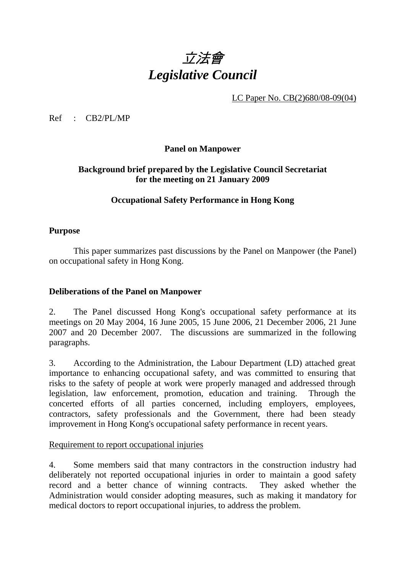# 立法會 *Legislative Council*

LC Paper No. CB(2)680/08-09(04)

Ref : CB2/PL/MP

**Panel on Manpower** 

# **Background brief prepared by the Legislative Council Secretariat for the meeting on 21 January 2009**

## **Occupational Safety Performance in Hong Kong**

## **Purpose**

This paper summarizes past discussions by the Panel on Manpower (the Panel) on occupational safety in Hong Kong.

#### **Deliberations of the Panel on Manpower**

2. The Panel discussed Hong Kong's occupational safety performance at its meetings on 20 May 2004, 16 June 2005, 15 June 2006, 21 December 2006, 21 June 2007 and 20 December 2007. The discussions are summarized in the following paragraphs.

3. According to the Administration, the Labour Department (LD) attached great importance to enhancing occupational safety, and was committed to ensuring that risks to the safety of people at work were properly managed and addressed through legislation, law enforcement, promotion, education and training. Through the concerted efforts of all parties concerned, including employers, employees, contractors, safety professionals and the Government, there had been steady improvement in Hong Kong's occupational safety performance in recent years.

#### Requirement to report occupational injuries

4. Some members said that many contractors in the construction industry had deliberately not reported occupational injuries in order to maintain a good safety record and a better chance of winning contracts. They asked whether the Administration would consider adopting measures, such as making it mandatory for medical doctors to report occupational injuries, to address the problem.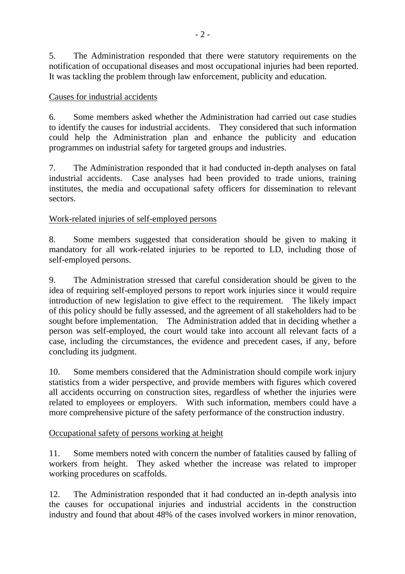5. The Administration responded that there were statutory requirements on the notification of occupational diseases and most occupational injuries had been reported. It was tackling the problem through law enforcement, publicity and education.

# Causes for industrial accidents

6. Some members asked whether the Administration had carried out case studies to identify the causes for industrial accidents. They considered that such information could help the Administration plan and enhance the publicity and education programmes on industrial safety for targeted groups and industries.

7. The Administration responded that it had conducted in-depth analyses on fatal industrial accidents. Case analyses had been provided to trade unions, training institutes, the media and occupational safety officers for dissemination to relevant sectors.

# Work-related injuries of self-employed persons

8. Some members suggested that consideration should be given to making it mandatory for all work-related injuries to be reported to LD, including those of self-employed persons.

9. The Administration stressed that careful consideration should be given to the idea of requiring self-employed persons to report work injuries since it would require introduction of new legislation to give effect to the requirement. The likely impact of this policy should be fully assessed, and the agreement of all stakeholders had to be sought before implementation. The Administration added that in deciding whether a person was self-employed, the court would take into account all relevant facts of a case, including the circumstances, the evidence and precedent cases, if any, before concluding its judgment.

10. Some members considered that the Administration should compile work injury statistics from a wider perspective, and provide members with figures which covered all accidents occurring on construction sites, regardless of whether the injuries were related to employees or employers. With such information, members could have a more comprehensive picture of the safety performance of the construction industry.

## Occupational safety of persons working at height

11. Some members noted with concern the number of fatalities caused by falling of workers from height. They asked whether the increase was related to improper working procedures on scaffolds.

12. The Administration responded that it had conducted an in-depth analysis into the causes for occupational injuries and industrial accidents in the construction industry and found that about 48% of the cases involved workers in minor renovation,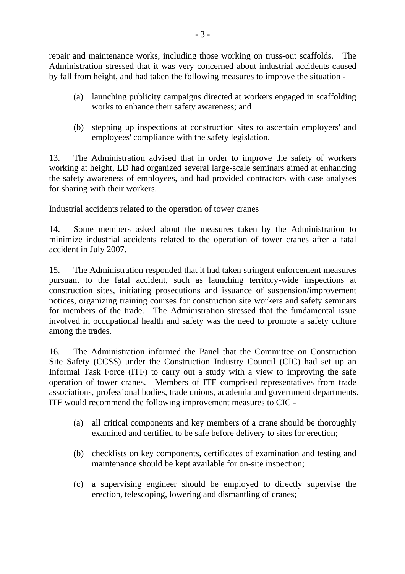repair and maintenance works, including those working on truss-out scaffolds. The Administration stressed that it was very concerned about industrial accidents caused by fall from height, and had taken the following measures to improve the situation -

- (a) launching publicity campaigns directed at workers engaged in scaffolding works to enhance their safety awareness; and
- (b) stepping up inspections at construction sites to ascertain employers' and employees' compliance with the safety legislation.

13. The Administration advised that in order to improve the safety of workers working at height, LD had organized several large-scale seminars aimed at enhancing the safety awareness of employees, and had provided contractors with case analyses for sharing with their workers.

## Industrial accidents related to the operation of tower cranes

14. Some members asked about the measures taken by the Administration to minimize industrial accidents related to the operation of tower cranes after a fatal accident in July 2007.

15. The Administration responded that it had taken stringent enforcement measures pursuant to the fatal accident, such as launching territory-wide inspections at construction sites, initiating prosecutions and issuance of suspension/improvement notices, organizing training courses for construction site workers and safety seminars for members of the trade. The Administration stressed that the fundamental issue involved in occupational health and safety was the need to promote a safety culture among the trades.

16. The Administration informed the Panel that the Committee on Construction Site Safety (CCSS) under the Construction Industry Council (CIC) had set up an Informal Task Force (ITF) to carry out a study with a view to improving the safe operation of tower cranes. Members of ITF comprised representatives from trade associations, professional bodies, trade unions, academia and government departments. ITF would recommend the following improvement measures to CIC -

- (a) all critical components and key members of a crane should be thoroughly examined and certified to be safe before delivery to sites for erection;
- (b) checklists on key components, certificates of examination and testing and maintenance should be kept available for on-site inspection;
- (c) a supervising engineer should be employed to directly supervise the erection, telescoping, lowering and dismantling of cranes;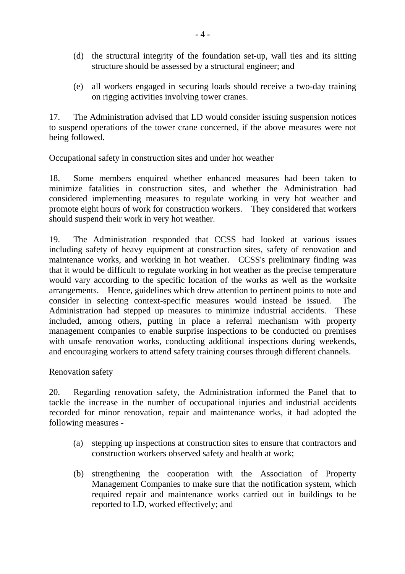- (d) the structural integrity of the foundation set-up, wall ties and its sitting structure should be assessed by a structural engineer; and
- (e) all workers engaged in securing loads should receive a two-day training on rigging activities involving tower cranes.

17. The Administration advised that LD would consider issuing suspension notices to suspend operations of the tower crane concerned, if the above measures were not being followed.

## Occupational safety in construction sites and under hot weather

18. Some members enquired whether enhanced measures had been taken to minimize fatalities in construction sites, and whether the Administration had considered implementing measures to regulate working in very hot weather and promote eight hours of work for construction workers. They considered that workers should suspend their work in very hot weather.

19. The Administration responded that CCSS had looked at various issues including safety of heavy equipment at construction sites, safety of renovation and maintenance works, and working in hot weather. CCSS's preliminary finding was that it would be difficult to regulate working in hot weather as the precise temperature would vary according to the specific location of the works as well as the worksite arrangements. Hence, guidelines which drew attention to pertinent points to note and consider in selecting context-specific measures would instead be issued. The Administration had stepped up measures to minimize industrial accidents. These included, among others, putting in place a referral mechanism with property management companies to enable surprise inspections to be conducted on premises with unsafe renovation works, conducting additional inspections during weekends, and encouraging workers to attend safety training courses through different channels.

#### Renovation safety

20. Regarding renovation safety, the Administration informed the Panel that to tackle the increase in the number of occupational injuries and industrial accidents recorded for minor renovation, repair and maintenance works, it had adopted the following measures -

- (a) stepping up inspections at construction sites to ensure that contractors and construction workers observed safety and health at work;
- (b) strengthening the cooperation with the Association of Property Management Companies to make sure that the notification system, which required repair and maintenance works carried out in buildings to be reported to LD, worked effectively; and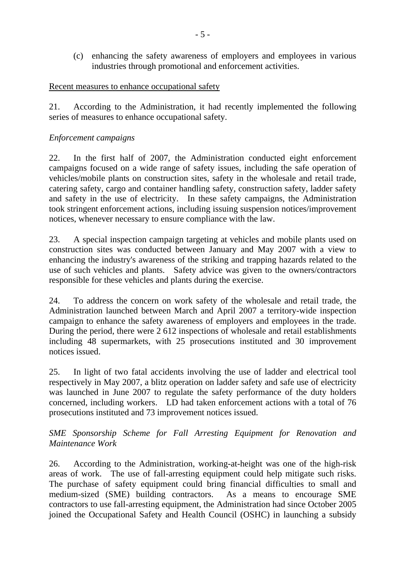(c) enhancing the safety awareness of employers and employees in various industries through promotional and enforcement activities.

## Recent measures to enhance occupational safety

21. According to the Administration, it had recently implemented the following series of measures to enhance occupational safety.

## *Enforcement campaigns*

22. In the first half of 2007, the Administration conducted eight enforcement campaigns focused on a wide range of safety issues, including the safe operation of vehicles/mobile plants on construction sites, safety in the wholesale and retail trade, catering safety, cargo and container handling safety, construction safety, ladder safety and safety in the use of electricity. In these safety campaigns, the Administration took stringent enforcement actions, including issuing suspension notices/improvement notices, whenever necessary to ensure compliance with the law.

23. A special inspection campaign targeting at vehicles and mobile plants used on construction sites was conducted between January and May 2007 with a view to enhancing the industry's awareness of the striking and trapping hazards related to the use of such vehicles and plants. Safety advice was given to the owners/contractors responsible for these vehicles and plants during the exercise.

24. To address the concern on work safety of the wholesale and retail trade, the Administration launched between March and April 2007 a territory-wide inspection campaign to enhance the safety awareness of employers and employees in the trade. During the period, there were 2 612 inspections of wholesale and retail establishments including 48 supermarkets, with 25 prosecutions instituted and 30 improvement notices issued.

25. In light of two fatal accidents involving the use of ladder and electrical tool respectively in May 2007, a blitz operation on ladder safety and safe use of electricity was launched in June 2007 to regulate the safety performance of the duty holders concerned, including workers. LD had taken enforcement actions with a total of 76 prosecutions instituted and 73 improvement notices issued.

*SME Sponsorship Scheme for Fall Arresting Equipment for Renovation and Maintenance Work* 

26. According to the Administration, working-at-height was one of the high-risk areas of work. The use of fall-arresting equipment could help mitigate such risks. The purchase of safety equipment could bring financial difficulties to small and medium-sized (SME) building contractors. As a means to encourage SME contractors to use fall-arresting equipment, the Administration had since October 2005 joined the Occupational Safety and Health Council (OSHC) in launching a subsidy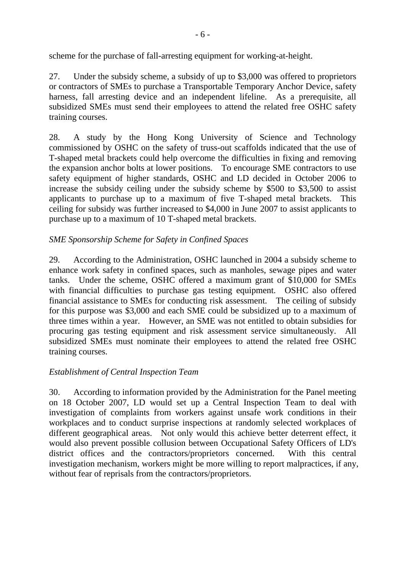scheme for the purchase of fall-arresting equipment for working-at-height.

27. Under the subsidy scheme, a subsidy of up to \$3,000 was offered to proprietors or contractors of SMEs to purchase a Transportable Temporary Anchor Device, safety harness, fall arresting device and an independent lifeline. As a prerequisite, all subsidized SMEs must send their employees to attend the related free OSHC safety training courses.

28. A study by the Hong Kong University of Science and Technology commissioned by OSHC on the safety of truss-out scaffolds indicated that the use of T-shaped metal brackets could help overcome the difficulties in fixing and removing the expansion anchor bolts at lower positions. To encourage SME contractors to use safety equipment of higher standards, OSHC and LD decided in October 2006 to increase the subsidy ceiling under the subsidy scheme by \$500 to \$3,500 to assist applicants to purchase up to a maximum of five T-shaped metal brackets. This ceiling for subsidy was further increased to \$4,000 in June 2007 to assist applicants to purchase up to a maximum of 10 T-shaped metal brackets.

# *SME Sponsorship Scheme for Safety in Confined Spaces*

29. According to the Administration, OSHC launched in 2004 a subsidy scheme to enhance work safety in confined spaces, such as manholes, sewage pipes and water tanks. Under the scheme, OSHC offered a maximum grant of \$10,000 for SMEs with financial difficulties to purchase gas testing equipment. OSHC also offered financial assistance to SMEs for conducting risk assessment. The ceiling of subsidy for this purpose was \$3,000 and each SME could be subsidized up to a maximum of three times within a year. However, an SME was not entitled to obtain subsidies for procuring gas testing equipment and risk assessment service simultaneously. All subsidized SMEs must nominate their employees to attend the related free OSHC training courses.

## *Establishment of Central Inspection Team*

30. According to information provided by the Administration for the Panel meeting on 18 October 2007, LD would set up a Central Inspection Team to deal with investigation of complaints from workers against unsafe work conditions in their workplaces and to conduct surprise inspections at randomly selected workplaces of different geographical areas. Not only would this achieve better deterrent effect, it would also prevent possible collusion between Occupational Safety Officers of LD's district offices and the contractors/proprietors concerned. With this central investigation mechanism, workers might be more willing to report malpractices, if any, without fear of reprisals from the contractors/proprietors.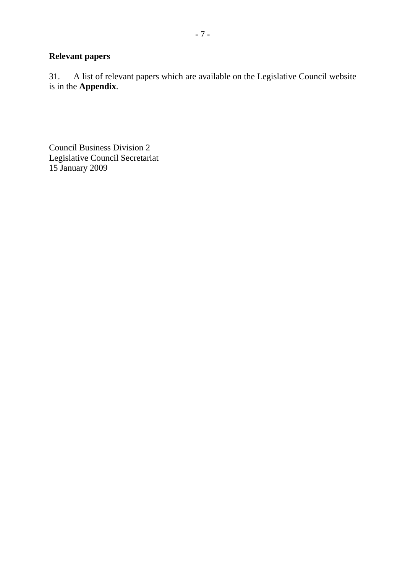# **Relevant papers**

31. A list of relevant papers which are available on the Legislative Council website is in the **Appendix**.

Council Business Division 2 Legislative Council Secretariat 15 January 2009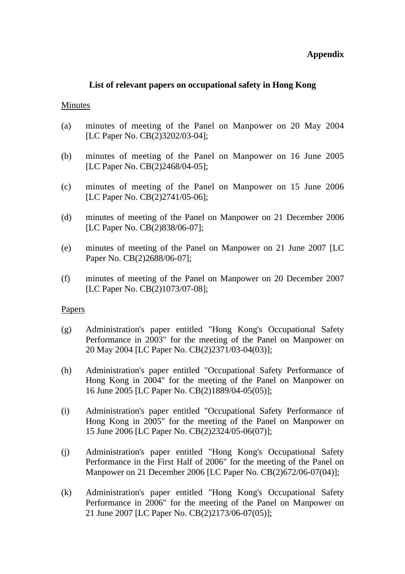## **Appendix**

#### **List of relevant papers on occupational safety in Hong Kong**

#### Minutes

- (a) minutes of meeting of the Panel on Manpower on 20 May 2004 [LC Paper No. CB(2)3202/03-04];
- (b) minutes of meeting of the Panel on Manpower on 16 June 2005 [LC Paper No. CB(2)2468/04-05];
- (c) minutes of meeting of the Panel on Manpower on 15 June 2006 [LC Paper No. CB(2)2741/05-06];
- (d) minutes of meeting of the Panel on Manpower on 21 December 2006 [LC Paper No. CB(2)838/06-07];
- (e) minutes of meeting of the Panel on Manpower on 21 June 2007 [LC Paper No. CB(2)2688/06-07];
- (f) minutes of meeting of the Panel on Manpower on 20 December 2007 [LC Paper No. CB(2)1073/07-08];

#### Papers

- (g) Administration's paper entitled "Hong Kong's Occupational Safety Performance in 2003" for the meeting of the Panel on Manpower on 20 May 2004 [LC Paper No. CB(2)2371/03-04(03)];
- (h) Administration's paper entitled "Occupational Safety Performance of Hong Kong in 2004" for the meeting of the Panel on Manpower on 16 June 2005 [LC Paper No. CB(2)1889/04-05(05)];
- (i) Administration's paper entitled "Occupational Safety Performance of Hong Kong in 2005" for the meeting of the Panel on Manpower on 15 June 2006 [LC Paper No. CB(2)2324/05-06(07)];
- (j) Administration's paper entitled "Hong Kong's Occupational Safety Performance in the First Half of 2006" for the meeting of the Panel on Manpower on 21 December 2006 [LC Paper No. CB(2)672/06-07(04)];
- (k) Administration's paper entitled "Hong Kong's Occupational Safety Performance in 2006" for the meeting of the Panel on Manpower on 21 June 2007 [LC Paper No. CB(2)2173/06-07(05)];